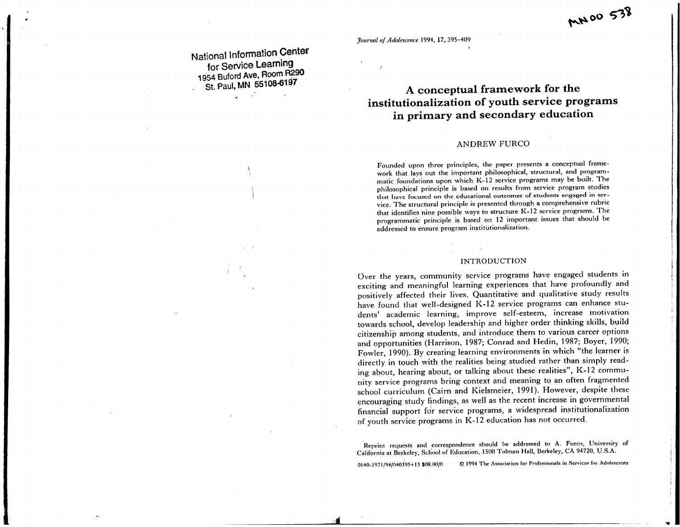*Journal of Adolescence* 1994, 17,395-409

**National Information Center for Service Learning 1954 Buford Ave, Room R290 St. Paul, MN 55108-6197** 

# **A conceptual framework for the institutionalization of youth service programs in primary and secondary education**

~~oo **c;;1** 

# ANDREW FURCO

Founded upon three principles, the paper presents a conceptual framework that lays out the important philosophical, structural, and programmatic foundations upon which K-12 service programs may be built. The <sup>p</sup>hilosophical principle is based on results from service program studies that have focused on the educational outcomes of students engaged in service. The structural principle is presented through <sup>a</sup>comprehensive rubric that identifies nine possible ways to structure K-12 service programs. The programmatic principle is based on 12 important issues that should be addressed to ensure program institutionalization.

### INTRODUCTION

Over the years, community service programs have engaged students in exciting and meaningful learning experiences that have profoundly and positively affected their lives. Quantitative and qualitative study results have found that well-designed K-12 service programs can enhance students' academic learning, improve self-esteem, increase motivation towards school, develop leadership and higher order thinking skills, build citizenship among students, and introduce them to various career options and opportunities (Harrison, 1987; Conrad and Hedin, 1987; Boyer, 1990; Fowler, 1990). By creating learning environments in which "the learner is directly in touch with the realities being studied rather than simply reading about, hearing about, or talking about these realities", K-12 community service programs bring context and meaning to an often fragmented school curriculum (Cairn and Kielsmeier, 1991). However, despite these encouraging study findings, as well as the recent increase in governmental financial support for service programs, a widespread institutionalization of youth service programs in K-12 education has not occurred.

Reprint requests and correspondence should he addressed to A. Furco, University of California at Berkeley, School of Education, 1500 Tolman Hall, Berkeley, CA 94720, U.S.A.

•

0140-1971/94/040J95+15 \$08.00/0 **<0 1994 The Assodntion for Professionals in Services for Adolescents** 

..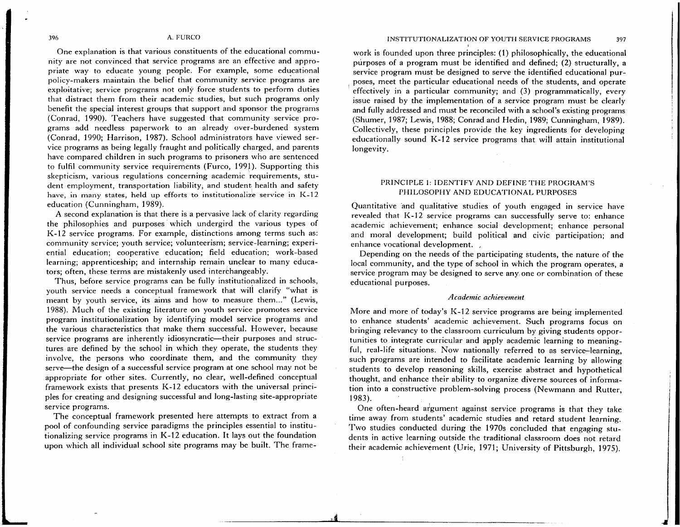One explanation is that various constituents of the educational community are not convinced that service programs are an effective and appropriate way to educate young people. For example, some educational policy-makers maintain the belief that community service programs are exploitative; service programs not only force students to perform duties that distract them from their academic studies, but such programs only benefit the special interest groups that support and sponsor the programs (Conrad, 1990). Teachers have suggested that community service programs add needless paperwork to an already over-burdened system (Conrad, 1990; Harrison, 1987). School administrators have viewed service programs as being legally fraught and politically charged, and parents have compared children in such programs to prisoners who are sentenced to fulfil community service requirements (Furco, 1991 ). Supporting this skepticism, various regulations concerning academic requirements, student employment, transportation liability, and student. health and safety 1 have, in many states, held up efforts to institutionalize service in K-12 education (Cunningham, 1989).

A second explanation is that there is a pervasive lack of clarity regarding the philosophies and purposes which undergird the various types of K-12 service programs. For example, distinctions among terms such as: community service; youth service; volunteerism; service-learning; experiential education; cooperative education; field education; work-based learning; apprenticeship; and internship remain unclear to many educators; often, these terms are mistakenly used interchangeably.

Thus, before service programs can be fully institutionalized in schools, youth service needs a conceptual framework that wili clarify "what is meant by youth service, its aims and how to measure them..." (Lewis, 1988). Much of the existing literature on youth service promotes service program institutionalization by identifying model service programs and the various characteristics that make them successful. However, because service programs are inherently idiosyncratic—their purposes and structures are defined by the school in which they operate, the students they involve, the persons who coordinate them, and the community they serve—the design of a successful service program at one school may not be appropriate for other sites. Currently, no clear, well-defined conceptual framework exists that presents K-12 educators with the universal principles for creating and designing successful and long-lasting site-appropriate service programs.

The conceptual framework presented here attempts to extract from <sup>a</sup> pool of confounding service paradigms the principles essential to institutionalizing service programs in K-12 education. It lays out the foundation upon which all individual school site programs may be built. The frame-

# INSTITUTIONALIZATION OF YOUTH SERVICE PROGRAMS 397

work is founded upon three principles: (1) philosophically, the educational purposes of a program must be identified and defined; (2) structurally, a service program must be designed to serve the identified educational purposes, meet the particular educational needs of the students, and operate effectively in a particular community; and (3) programmatically, every issue raised by the implementation of a service program must be clearly and fully addressed and must be reconciled with a school's existing programs (Shumer, 1987; Lewis, 1988; Conrad and Hedin, 1989; Cunningham, 1989). Collectively, these principles provide the key ingredients for developing educationally sound K-12 service programs that wiil attain institutional longevity.

# PRINCIPLE 1: IDENTIFY AND DEFINE THE PROGRAM'S PHILOSOPHY AND EDUCATIONAL PURPOSES

Quantitative and qualitative studies of youth engaged in service have revealed that K-12 service programs can successfully serve to: enhance academic achievement; enhance social development; enhance personal and moral development; build political and civic participation; and enhance vocational development. ,

Depending on the needs of the participating students, the nature of the local community, and the type of school in which the program operates, <sup>a</sup> service program may be designed to serve any, one or combination of these educational purposes.

### *Academic achievemerzt*

More and more of today's K-12 service programs are being implemented to enhance students' academic achievement. Such programs focus on bringing relevancy to the classroom curriculum by giving students opportunities to integrate curricular and apply academic learning to meaningful, real-life situations. Now nationally referred to as service-learning, such programs are intended to facilitate academic learning by allowing students to develop reasoning skills, exercise abstract and hypothetical thought, and enhance their ability to organize diverse sources of information into a constructive problem-solving process (Newmann and Rutter, 1983).

One often-heard aigument against service programs is that they take time away from students' academic studies and retard student learning. Two studies conducted during the 1970s concluded that engaging students in active learning outside the traditional classroom does not retard their academic achievement (Urie, 1971; University of Pittsburgh, 1975).

...

 $^{\mathbf{4}}$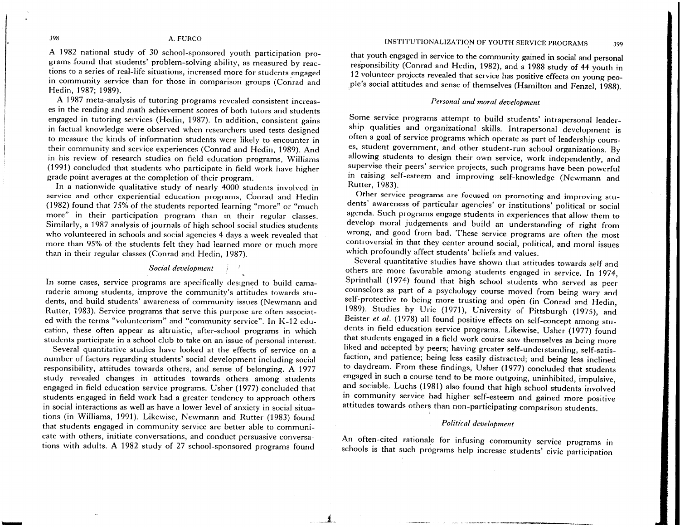### INSTITUTIONALIZATION OF YOUTH SERVICE PROGRAMS 399

### 398 A. FURCO

A 1982 national study of 30 school-sponsored youth participation programs found that students' problem-solving ability, as measured by reactions to a series of real-life situations, increased more for students engaged in community service than for those in comparison groups (Conrad and Hedin, 1987; 1989).

A 1987 meta-analysis of tutoring programs revealed consistent increases in the reading and math achievement scores of both tutors and students engaged in tutoring services {Hedin, 1987). In addition, consistent gains in factual knowledge were observed when researchers used tests designed to measure the kinds of information students were likely to encounter in their community and service experiences (Conrad and Hedin, 1989). And in his review of research studies on field education programs, Williams (1991) concluded that students who participate in field work have higher grade point averages at the completion of their program.

In a nationwide qualitative study of nearly 4000 students involved in service and other experiential education programs, Conrad and Hedin (1982) found that 75% of the students reported learning "more" or "much more" in their participation program than in their regular classes. Similarly, a 1987 analysis of journals of high school social studies students who volunteered in schools and social agencies 4 days a week revealed that more than 95% of the students felt they had learned more or much more than in their regular classes {Conrad and Hedin, 1987).

## *Social development*

In some cases, service programs are specifically designed to build camaraderie among students, improve the community's attitudes towards students, and build students' awareness of community issues {Newmann and Rutter, 1983). Service programs that serve this purpose are often associated with the terms "volunteerism" and "community service". In K-12 education, these often appear as altruistic, after-school programs in which students participate in a school club to take on an issue of personal interest.

Several quantitative studies have looked at the effects of service on <sup>a</sup> number of factors regarding students' social development including social responsibility, attitudes towards others, and sense of belonging. A 1977 study revealed changes in attitudes towards others among students engaged in field education service programs. Usher (1977) concluded that students engaged in field work had a greater tendency to approach others in social interactions as well as have a lower level of anxiety in social situations (in Williams, 1991). Likewise, Newmann arid Rutter {1983) found that students engaged in community service are better able to communicate with others, initiate conversations, and conduct persuasive conversations with adults. A 1982 study of 27 school-sponsored programs found

that youth engaged in service to the community gained in social and personal responsibility (Conrad and Hedin, 1982), and a 1988 study of 44 youth in <sup>12</sup>volunteer projects revealed that service has positive effects on young peo- .Pie's social attitudes and sense of themselves (Hamilton and Fenzel, 1988).

### *Personal and moral development*

Some service programs attempt to build students' intrapersonal leadership qualities and organizational skills. Intrapersonal development is often a goal of service programs which operate as part of leadership courses, student government, and other student-run school organizations. By allowing students to design their own service, work independently, and supervise their peers' service projects, such programs have been powerful in raising self-esteem and improving self-knowledge (Newmann and Rutter, 1983).

Other service programs are focused on promoting and improving students' awareness of particular agencies' or institutions' political or social agenda. Such programs engage students in experiences that allow them to develop moral judgements and build an understanding of right from wrong, and good from bad. These service programs are often the most controversial in that they center around social, political, and moral issues which profoundly affect students' beliefs and values.

Several quantitative studies have shown that attitudes towards self and others are more favorable among students engaged in service. In 1974, Sprinthall (1974) found that high school students who served as peer counselors as part of a psychology course moved from being wary and self-protective to being more trusting and open (in Conrad and Hedin, 1989). Studies by Urie (1971), University of Pittsburgh (1975), and Beister *et al.* (1978) all found positive effects on self-concept among students in field education service programs. Likewise, Usher (1977) found that students engaged in a field work course saw themselves as being more liked and accepted by peers; having greater self-understanding, self-satisfaction, and patience; being less easily distracted; and being less inclined to daydream. From these findings, Usher (1977) concluded that students engaged in such a course tend to be more outgoing, uninhibited, impulsive, and sociable. Luchs (1981) also found that high school students involved in community service had higher self-esteem and gained more positive attitudes towards others than non-participating comparison students.

### *Politiral development*

An often-cited rationale for infusing community service programs in schools is that such programs help increase students' civic participation

. --·--· ......

----------

 $j_{\scriptscriptstyle\sim}$  ,

-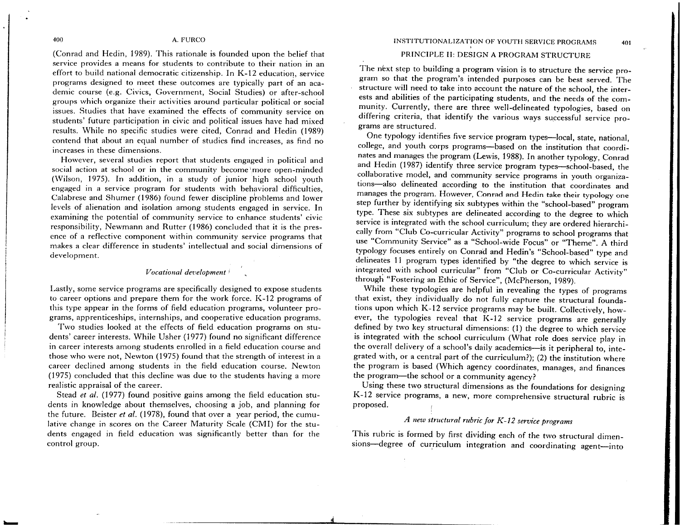Extern and Licen 1995). The station is noted to the the stationary constant and the stationary of the stationary constant in the stationary of the stationary of the stationary constant in the stationary of the stationary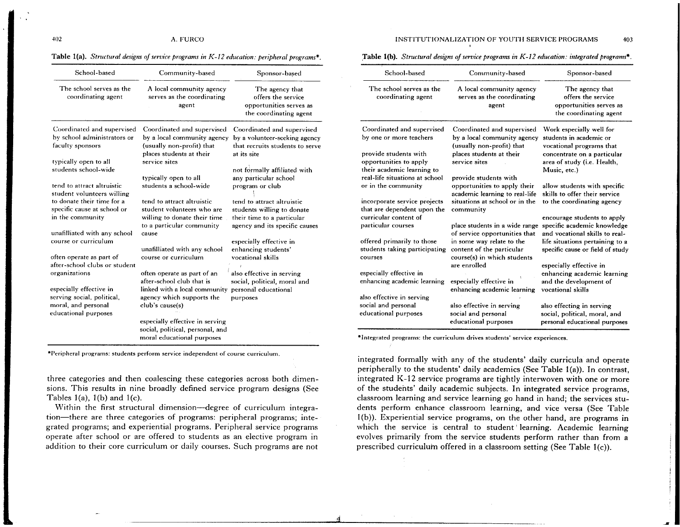### Table l(a). *Structural designs of service programs in K-12 education: peripheral programs\*.*

| School-based                                             | Community-based                                                                      | Sponsor-based                                                                              |
|----------------------------------------------------------|--------------------------------------------------------------------------------------|--------------------------------------------------------------------------------------------|
| The school serves as the<br>coordinating agent           | A local community agency<br>serves as the coordinating<br>agent                      | The agency that<br>offers the service<br>opportunities serves as<br>the coordinating agent |
| Coordinated and supervised                               | Coordinated and supervised                                                           | Coordinated and supervised                                                                 |
| by school administrators or<br>faculty sponsors          | by a local community agency<br>(usually non-profit) that<br>places students at their | by a volunteer-seeking agency<br>that recruits students to serve<br>at its site            |
| typically open to all                                    | service sites                                                                        |                                                                                            |
| students school-wide                                     | typically open to all                                                                | not formally affiliated with<br>any particular school                                      |
| tend to attract altruistic<br>student volunteers willing | students a school-wide                                                               | program or club                                                                            |
| to donate their time for a                               | tend to attract altruistic                                                           | tend to attract altruistic                                                                 |
| specific cause at school or                              | student volunteers who are                                                           | students willing to donate                                                                 |
| in the community                                         | willing to donate their time                                                         | their time to a particular                                                                 |
|                                                          | to a particular community                                                            | agency and its specific causes                                                             |
| unafilliated with any school                             | cause                                                                                |                                                                                            |
| course or curriculum                                     |                                                                                      | especially effective in                                                                    |
|                                                          | unafilliated with any school                                                         | enhancing students'                                                                        |
| often operate as part of                                 | course or curriculum                                                                 | vocational skills                                                                          |
| after-school clubs or student                            |                                                                                      |                                                                                            |
| organizations                                            | often operate as part of an<br>after-school club that is                             | also effective in serving<br>social, political, moral and                                  |
| especially effective in                                  | linked with a local community                                                        | personal educational                                                                       |
| serving social, political,<br>moral, and personal        | agency which supports the<br>club's cause(s)                                         | purposes                                                                                   |
| educational purposes                                     |                                                                                      |                                                                                            |
|                                                          | especially effective in serving                                                      |                                                                                            |
|                                                          | social, political, personal, and                                                     |                                                                                            |
|                                                          | moral educational purposes                                                           |                                                                                            |

**•Peripheral programs: students perform service independent of course curriculum.** 

three categories and then coalescing these categories across both dimensions. This results in nine broadly defined service program designs (See Tables  $1(a)$ ,  $1(b)$  and  $1(c)$ .

Within the first structural dimension-degree of curriculum integration-there are three categories of programs: peripheral programs; integrated programs; and experiential programs. Peripheral service programs operate after school or are offered to students as an elective program in addition to their core curriculum or daily courses. Such programs are not

### :Table l(b). *Structural designs of service programs in K-12 education: integrated programs\*.*

| School-based                                                                                                                                       | Community-based                                                                                                                        | Sponsor-based                                                                                                                                 |
|----------------------------------------------------------------------------------------------------------------------------------------------------|----------------------------------------------------------------------------------------------------------------------------------------|-----------------------------------------------------------------------------------------------------------------------------------------------|
| The school serves as the<br>coordinating agent                                                                                                     | A local community agency<br>serves as the coordinating<br>agent                                                                        | The agency that<br>offers the service<br>opportunities serves as<br>the coordinating agent                                                    |
| Coordinated and supervised<br>by one or more teachers<br>provide students with<br>opportunities to apply                                           | Coordinated and supervised<br>by a local community agency<br>(usually non-profit) that<br>places students at their<br>service sites    | Work especially well for<br>students in academic or<br>vocational programs that<br>concentrate on a particular<br>area of study (i.e. Health, |
| their academic learning to<br>real-life situations at school<br>or in the community<br>incorporate service projects<br>that are dependent upon the | provide students with<br>opportunities to apply their<br>academic learning to real-life<br>situations at school or in the<br>community | Music, etc.)<br>allow students with specific<br>skills to offer their service<br>to the coordinating agency                                   |
| curricular content of<br>particular courses                                                                                                        | place students in a wide range<br>of service opportunities that                                                                        | encourage students to apply<br>specific academic knowledge<br>and vocational skills to real-                                                  |
| offered primarily to those<br>students taking participating<br>courses                                                                             | in some way relate to the<br>content of the particular<br>course(s) in which students                                                  | life situations pertaining to a<br>specific cause or field of study                                                                           |
| especially effective in<br>enhancing academic learning                                                                                             | are enrolled<br>especially effective in<br>enhancing academic learning                                                                 | especially effective in<br>enhancing academic learning<br>and the development of<br>vocational skills                                         |
| also effective in serving<br>social and personal<br>educational purposes                                                                           | also effective in serving<br>social and personal<br>educational purposes                                                               | also effecting in serving<br>social, political, moral, and<br>personal educational purposes                                                   |

**\*Integrated programs: the curriculum drives students' service experiences.** 

4

integrated formally with any of the students' daily curricula and operate peripherally to the students' daily academics (See Table 1(a)). In contrast, integrated K-12 service programs are tightly interwoven with one or more of the students' daily academic subjects. In integrated service programs, classroom learning and service learning go hand in hand; the services students perform enhance classroom learning, and vice versa (See Table  $1(b)$ ). Experiential service programs, on the other hand, are programs in which the service is central to student' learning. Academic learning evolves primarily from the service students perform rather than from a prescribed curriculum offered in a classroom setting (See Table l(c)).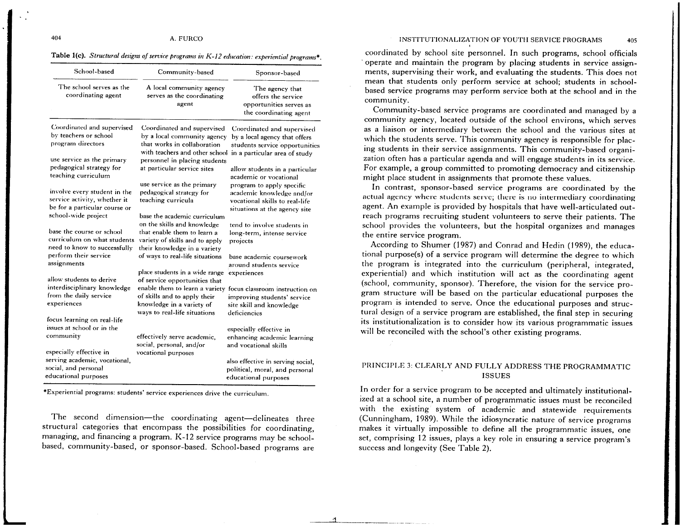INSTITUTIONALIZATION OF YOUTH SERVICE PROGRAMS 405

# Table l(c). *Structural designs of service progrmm in K-12 education: experiential programs•.*

| School-based                                                                                                         | Community-based                                                                                                                                              | Sponsor-based                                                                                                                                           |
|----------------------------------------------------------------------------------------------------------------------|--------------------------------------------------------------------------------------------------------------------------------------------------------------|---------------------------------------------------------------------------------------------------------------------------------------------------------|
| The school serves as the<br>coordinating agent                                                                       | A local community agency<br>serves as the coordinating<br>agent                                                                                              | The agency that<br>offers the service<br>opportunities serves as<br>the coordinating agent                                                              |
| Coordinated and supervised<br>by teachers or school<br>program directors<br>use service as the primary               | Coordinated and supervised<br>by a local community agency<br>that works in collaboration<br>with teachers and other school<br>personnel in placing students  | Coordinated and supervised<br>by a local agency that offers<br>students service opportunities<br>in a particular area of study                          |
| pedagogical strategy for<br>teaching curriculum                                                                      | at particular service sites                                                                                                                                  | allow students in a particular<br>academic or vocational                                                                                                |
| involve every student in the<br>service activity, whether it<br>be for a particular course or<br>school-wide project | use service as the primary<br>pedagogical strategy for<br>teaching curricula                                                                                 | program to apply specific<br>academic knowledge and/or<br>vocational skills to real-life<br>situations at the agency site                               |
| base the course or school<br>curriculum on what students<br>need to know to successfully                             | base the academic curriculum<br>on the skills and knowledge<br>that enable them to learn a<br>variety of skills and to apply<br>their knowledge in a variety | tend to involve students in<br>long-term, intense service<br>projects                                                                                   |
| perform their service<br>assignments                                                                                 | of ways to real-life situations                                                                                                                              | base academic coursework<br>around students service                                                                                                     |
| allow students to derive<br>interdisciplinary knowledge<br>from the daily service<br>experiences                     | place students in a wide range<br>of service opportunities that<br>of skills and to apply their<br>knowledge in a variety of<br>ways to real-life situations | experiences<br>enable them to learn a variety focus classroom instruction on<br>improving students' service<br>site skill and knowledge<br>deficiencies |
| focus learning on real-life<br>issues at school or in the                                                            |                                                                                                                                                              | especially effective in                                                                                                                                 |
| community                                                                                                            | effectively serve academic,<br>social, personal, and/or                                                                                                      | enhancing academic learning<br>and vocational skills                                                                                                    |
| especially effective in<br>serving academic, vocational,<br>social, and personal<br>educational purposes             | vocational purposes                                                                                                                                          | also effective in serving social,<br>political, moral, and personal<br>educational purposes                                                             |

"Experiential programs: students' service experiences *drive* the curriculum.

The second dimension—the coordinating agent—delineates three structural categories that encompass the possibilities for coordinating, managing, and financing a program. K-12 service programs may be schoolbased, community-based, or sponsor-based. School-based programs are

-"'

coordinated by school site personnel. In such programs, school officials operate and maintain the program by placing students in service assignments, supervising their work, and evaluating the students. This does not mean that students only perform service at school; students in schoolbased service programs may perform service both at the school and in the community.

Community-based service programs are coordinated and managed by <sup>a</sup> community agency, located outside of the school environs, which serves as a liaison or intermediary between the school and the various sites at which the students serve. This community agency is responsible for placing students in their service assignments. This community-based organization often has a particular agenda and will engage students in its service. For example, a group committed to promoting democracy and citizenship might place student in assignments that promote these values.

In contrast, sponsor-based service programs are coordinated by the actual agency where students serve; there is no intermediary coordinating agent. An example is provided by hospitals that have well-articulated outreach programs recruiting student volunteers to serve their patients. The school provides the volunteers, but the hospital organizes and manages the entire service program.

According to Shumer (1987) and Conrad and Hedin ( 1989), the educational purpose(s) of a service program will determine the degree to which the program is integrated into the curriculum (peripheral, integrated, experiential) and which institution will act as the coordinating agent (school, community, sponsor). Therefore, the vision for the service program structure will be based on the particular educational purposes the program is intended to serve. Once the educational purposes and structural design of a service program are established, the final step in securing its institutionalization is to consider how its various programmatic issues will be reconciled with the school's other existing programs.

# PRINCIPLE 3: CLEARLY AND FULLY ADDRESS THE PROGRAMMATIC ISSUES

In order for a service program to be accepted and ultimately institutionalized at a school site, a number of programmatic issues must be reconciled with the existing system of academic and statewide requirements (Cunningham, 1989). While the idiosyncratic nature of service programs makes it virtually impossible to define all the programmatic issues, one set, comprising 12 issues, plays a key role in ensuring a service program's success and longevity (See Table 2).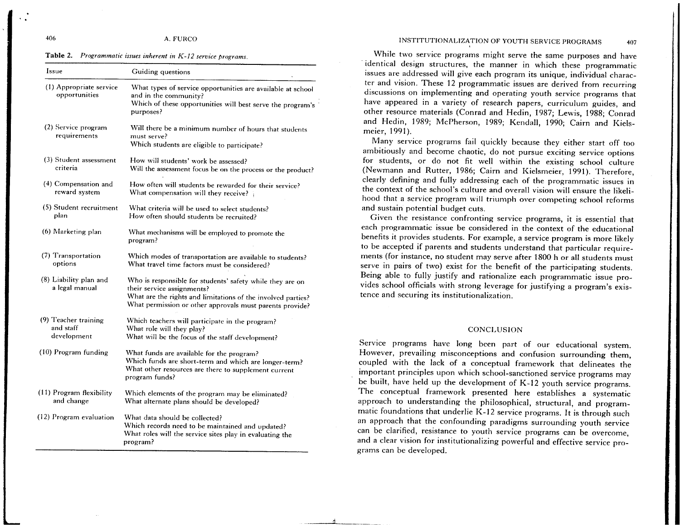Table 2. *Programmatic issues inherent in K-12 service programs.* 

| Issue                                            | Guiding questions                                                                                                                                                                                                   |  |
|--------------------------------------------------|---------------------------------------------------------------------------------------------------------------------------------------------------------------------------------------------------------------------|--|
| (1) Appropriate service<br>opportunities         | What types of service opportunities are available at school<br>and in the community?<br>Which of these opportunities will best serve the program's<br>purposes?                                                     |  |
| (2) Service program<br>requirements              | Will there be a minimum number of hours that students<br>must serve?<br>Which students are eligible to participate?                                                                                                 |  |
| (3) Student assessment<br>criteria               | How will students' work be assessed?<br>Will the assessment focus be on the process or the product?                                                                                                                 |  |
| (4) Compensation and<br>reward system            | How often will students be rewarded for their service?<br>What compensation will they receive?                                                                                                                      |  |
| (5) Student recruitment<br>plan                  | What criteria will be used to select students?<br>How often should students be recruited?                                                                                                                           |  |
| (6) Marketing plan                               | What mechanisms will be employed to promote the<br>program?                                                                                                                                                         |  |
| (7) Transportation<br>options                    | Which modes of transportation are available to students?<br>What travel time factors must be considered?                                                                                                            |  |
| (8) Liability plan and<br>a legal manual         | Who is responsible for students' safety while they are on<br>their service assignments?<br>What are the rights and limitations of the involved parties?<br>What permission or other approvals must parents provide? |  |
| (9) Teacher training<br>and staff<br>development | Which teachers will participate in the program?<br>What role will they play?<br>What will be the focus of the staff development?                                                                                    |  |
| (10) Program funding                             | What funds are available for the program?<br>Which funds are short-term and which are longer-term?<br>What other resources are there to supplement current<br>program funds?                                        |  |
| (11) Program flexibility<br>and change           | Which elements of the program may be eliminated?<br>What alternate plans should be developed?                                                                                                                       |  |
| (12) Program evaluation                          | What data should be collected?<br>Which records need to be maintained and updated?<br>What roles will the service sites play in evaluating the<br>program?                                                          |  |

### INSTITUTIONALIZATION OF YOUTH SERVICE PROGRAMS 407

While two service programs might serve the same purposes and have identical design structures, the manner in which these programmatic issues are addressed will give each program its unique, individual charac-<br>ter and vision. These 12 programmatic issues are derived from recurring discussions on implementing and operating youth service programs that have appeared in a variety of research papers, curriculum guides, and other resource materials (Conrad and Hedin, 1987; Lewis, 1988; Conrad and Hedin, 1989; McPherson, 1989; Kendall, 1990; Cairn and Kielsmeier, 1991).

Many service programs fail quickly because they either start off too ambitiously and become chaotic, do not pursue exciting service options for students, or do not fit well within the existing school culture (Newmann and Rutter, 1986; Cairn and Kielsmeier, 1991). Therefore, clearly defining and fully addressing each of the programmatic issues in the context of the school's culture and overall vision will ensure the likelihood that a service program will triumph over competing school reforms and sustain potential budget cuts.

Given the resistance confronting service programs, it is essential that each programmatic issue be considered in the context of the educational benefits it provides students. For example, a service program is more likely to be accepted if parents and students understand that particular requirements (for instance, no student may serve after 1800 h or all students must serve in pairs of two) exist for the benefit of the participating students. Being able to fully justify and rationalize each programmatic issue provides school officials with strong leverage for justifying a program's existence and securing its institutionalization.

### CONCLUSION

Service programs have long been part of our educational system. However, prevailing misconceptions and confusion surrounding them, coupled with the lack of a conceptual framework that delineates the important principles upon which school-sanctioned service programs may be built, have held up the development of K-12 youth service programs. The conceptual framework presented here establishes a systematic approach to understanding the philosophical, structural, and programmatic foundations that underlie K-12 service programs. It is through such an approach that the confounding paradigms surrounding youth service can be clarified, resistance to youth service programs can be overcome, and a clear vision for institutionalizing powerful and effective service programs can be developed.

!l